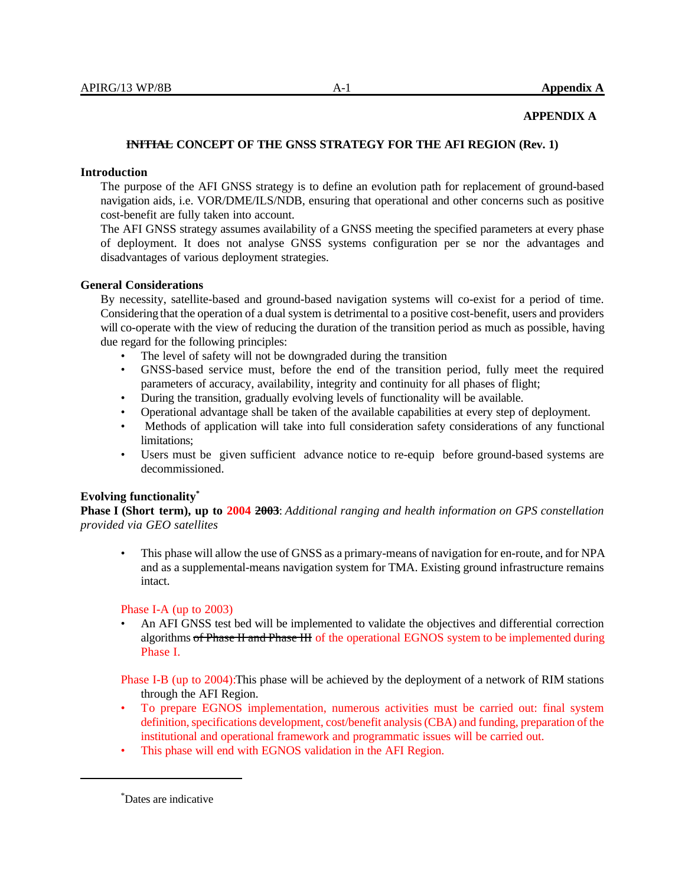### **APPENDIX A**

## **INITIAL CONCEPT OF THE GNSS STRATEGY FOR THE AFI REGION (Rev. 1)**

### **Introduction**

The purpose of the AFI GNSS strategy is to define an evolution path for replacement of ground-based navigation aids, i.e. VOR/DME/ILS/NDB, ensuring that operational and other concerns such as positive cost-benefit are fully taken into account.

The AFI GNSS strategy assumes availability of a GNSS meeting the specified parameters at every phase of deployment. It does not analyse GNSS systems configuration per se nor the advantages and disadvantages of various deployment strategies.

#### **General Considerations**

By necessity, satellite-based and ground-based navigation systems will co-exist for a period of time. Considering that the operation of a dual system is detrimental to a positive cost-benefit, users and providers will co-operate with the view of reducing the duration of the transition period as much as possible, having due regard for the following principles:

- The level of safety will not be downgraded during the transition
- GNSS-based service must, before the end of the transition period, fully meet the required parameters of accuracy, availability, integrity and continuity for all phases of flight;
- During the transition, gradually evolving levels of functionality will be available.
- Operational advantage shall be taken of the available capabilities at every step of deployment.
- Methods of application will take into full consideration safety considerations of any functional limitations;
- Users must be given sufficient advance notice to re-equip before ground-based systems are decommissioned.

#### **Evolving functionality\***

**Phase I (Short term), up to 2004 2003**: *Additional ranging and health information on GPS constellation provided via GEO satellites*

• This phase will allow the use of GNSS as a primary-means of navigation for en-route, and for NPA and as a supplemental-means navigation system for TMA. Existing ground infrastructure remains intact.

#### Phase I-A (up to 2003)

• An AFI GNSS test bed will be implemented to validate the objectives and differential correction algorithms of Phase II and Phase III of the operational EGNOS system to be implemented during Phase I.

Phase I-B (up to 2004):This phase will be achieved by the deployment of a network of RIM stations through the AFI Region.

- To prepare EGNOS implementation, numerous activities must be carried out: final system definition, specifications development, cost/benefit analysis (CBA) and funding, preparation of the institutional and operational framework and programmatic issues will be carried out.
- This phase will end with EGNOS validation in the AFI Region.

<sup>\*</sup>Dates are indicative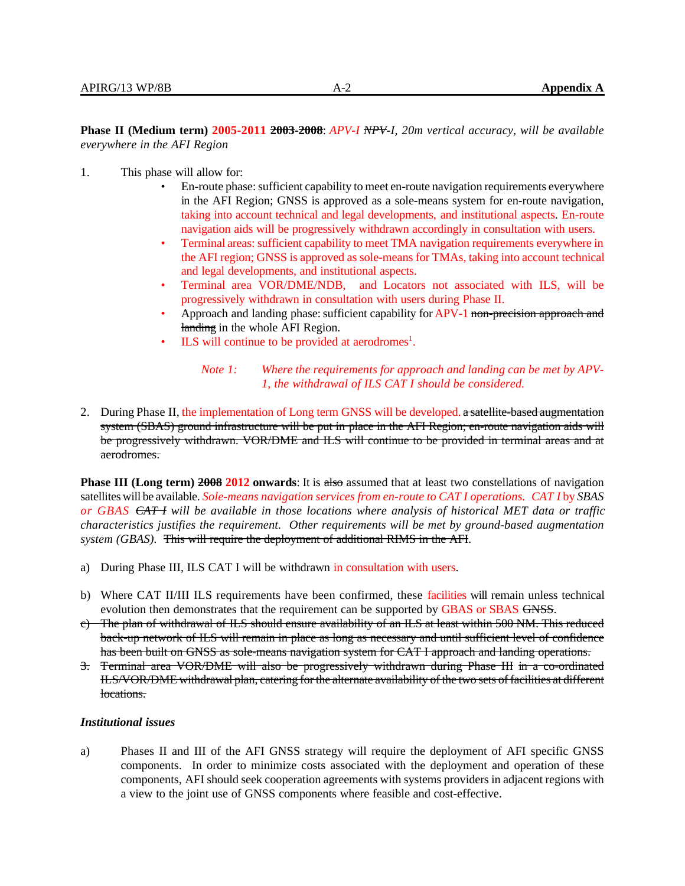**Phase II (Medium term) 2005-2011 2003-2008**: *APV-I NPV-I, 20m vertical accuracy, will be available everywhere in the AFI Region*

- 1. This phase will allow for:
	- En-route phase: sufficient capability to meet en-route navigation requirements everywhere in the AFI Region; GNSS is approved as a sole-means system for en-route navigation, taking into account technical and legal developments, and institutional aspects. En-route navigation aids will be progressively withdrawn accordingly in consultation with users.
	- Terminal areas: sufficient capability to meet TMA navigation requirements everywhere in the AFI region; GNSS is approved as sole-means for TMAs, taking into account technical and legal developments, and institutional aspects.
	- Terminal area VOR/DME/NDB, and Locators not associated with ILS, will be progressively withdrawn in consultation with users during Phase II.
	- Approach and landing phase: sufficient capability for APV-1 non-precision approach and landing in the whole AFI Region.
	- ILS will continue to be provided at aerodromes<sup>1</sup>.

### *Note 1: Where the requirements for approach and landing can be met by APV-1, the withdrawal of ILS CAT I should be considered.*

2. During Phase II, the implementation of Long term GNSS will be developed. a satellite-based augmentation system (SBAS) ground infrastructure will be put in place in the AFI Region; en-route navigation aids will be progressively withdrawn. VOR/DME and ILS will continue to be provided in terminal areas and at aerodromes.

**Phase III (Long term) 2008 2012 onwards:** It is also assumed that at least two constellations of navigation satellites will be available. *Sole-means navigation services from en-route to CAT I operations. CAT I* by *SBAS or GBAS CAT I will be available in those locations where analysis of historical MET data or traffic characteristics justifies the requirement. Other requirements will be met by ground-based augmentation system (GBAS).* This will require the deployment of additional RIMS in the AFI.

- a) During Phase III, ILS CAT I will be withdrawn in consultation with users.
- b) Where CAT II/III ILS requirements have been confirmed, these facilities will remain unless technical evolution then demonstrates that the requirement can be supported by GBAS or SBAS GNSS.
- c) The plan of withdrawal of ILS should ensure availability of an ILS at least within 500 NM. This reduced back-up network of ILS will remain in place as long as necessary and until sufficient level of confidence has been built on GNSS as sole-means navigation system for CAT I approach and landing operations.
- 3. Terminal area VOR/DME will also be progressively withdrawn during Phase III in a co-ordinated ILS/VOR/DME withdrawal plan, catering for the alternate availability of the two sets of facilities at different locations.

#### *Institutional issues*

a) Phases II and III of the AFI GNSS strategy will require the deployment of AFI specific GNSS components. In order to minimize costs associated with the deployment and operation of these components, AFI should seek cooperation agreements with systems providers in adjacent regions with a view to the joint use of GNSS components where feasible and cost-effective.